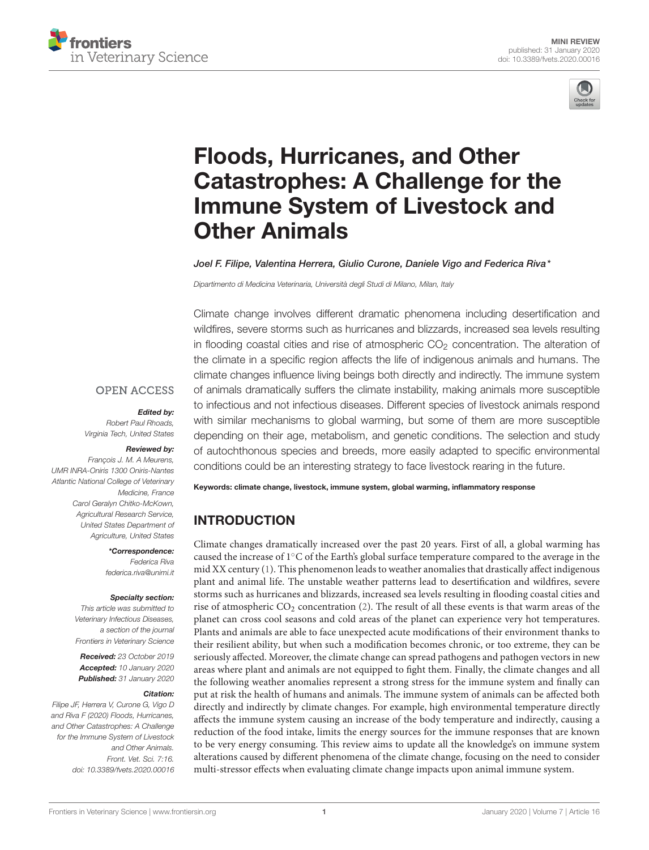



# Floods, Hurricanes, and Other [Catastrophes: A Challenge for the](https://www.frontiersin.org/articles/10.3389/fvets.2020.00016/full) Immune System of Livestock and Other Animals

#### [Joel F. Filipe,](http://loop.frontiersin.org/people/834321/overview) [Valentina Herrera,](http://loop.frontiersin.org/people/834174/overview) [Giulio Curone,](http://loop.frontiersin.org/people/883883/overview) [Daniele Vigo](http://loop.frontiersin.org/people/887329/overview) and [Federica Riva\\*](http://loop.frontiersin.org/people/70205/overview)

Dipartimento di Medicina Veterinaria, Università degli Studi di Milano, Milan, Italy

Climate change involves different dramatic phenomena including desertification and wildfires, severe storms such as hurricanes and blizzards, increased sea levels resulting in flooding coastal cities and rise of atmospheric  $CO<sub>2</sub>$  concentration. The alteration of the climate in a specific region affects the life of indigenous animals and humans. The climate changes influence living beings both directly and indirectly. The immune system of animals dramatically suffers the climate instability, making animals more susceptible to infectious and not infectious diseases. Different species of livestock animals respond with similar mechanisms to global warming, but some of them are more susceptible depending on their age, metabolism, and genetic conditions. The selection and study of autochthonous species and breeds, more easily adapted to specific environmental conditions could be an interesting strategy to face livestock rearing in the future.

Keywords: climate change, livestock, immune system, global warming, inflammatory response

### INTRODUCTION

Climate changes dramatically increased over the past 20 years. First of all, a global warming has caused the increase of 1◦C of the Earth's global surface temperature compared to the average in the mid XX century [\(1\)](#page-5-0). This phenomenon leads to weather anomalies that drastically affect indigenous plant and animal life. The unstable weather patterns lead to desertification and wildfires, severe storms such as hurricanes and blizzards, increased sea levels resulting in flooding coastal cities and rise of atmospheric CO<sup>2</sup> concentration [\(2\)](#page-5-1). The result of all these events is that warm areas of the planet can cross cool seasons and cold areas of the planet can experience very hot temperatures. Plants and animals are able to face unexpected acute modifications of their environment thanks to their resilient ability, but when such a modification becomes chronic, or too extreme, they can be seriously affected. Moreover, the climate change can spread pathogens and pathogen vectors in new areas where plant and animals are not equipped to fight them. Finally, the climate changes and all the following weather anomalies represent a strong stress for the immune system and finally can put at risk the health of humans and animals. The immune system of animals can be affected both directly and indirectly by climate changes. For example, high environmental temperature directly affects the immune system causing an increase of the body temperature and indirectly, causing a reduction of the food intake, limits the energy sources for the immune responses that are known to be very energy consuming. This review aims to update all the knowledge's on immune system alterations caused by different phenomena of the climate change, focusing on the need to consider multi-stressor effects when evaluating climate change impacts upon animal immune system.

#### **OPEN ACCESS**

#### Edited by:

Robert Paul Rhoads, Virginia Tech, United States

#### Reviewed by:

François J. M. A Meurens, UMR INRA-Oniris 1300 Oniris-Nantes Atlantic National College of Veterinary Medicine, France Carol Geralyn Chitko-McKown, Agricultural Research Service, United States Department of Agriculture, United States

\*Correspondence:

Federica Riva [federica.riva@unimi.it](mailto:federica.riva@unimi.it)

#### Specialty section:

This article was submitted to Veterinary Infectious Diseases, a section of the journal Frontiers in Veterinary Science

Received: 23 October 2019 Accepted: 10 January 2020 Published: 31 January 2020

#### Citation:

Filipe JF, Herrera V, Curone G, Vigo D and Riva F (2020) Floods, Hurricanes, and Other Catastrophes: A Challenge for the Immune System of Livestock and Other Animals. Front. Vet. Sci. 7:16. doi: [10.3389/fvets.2020.00016](https://doi.org/10.3389/fvets.2020.00016)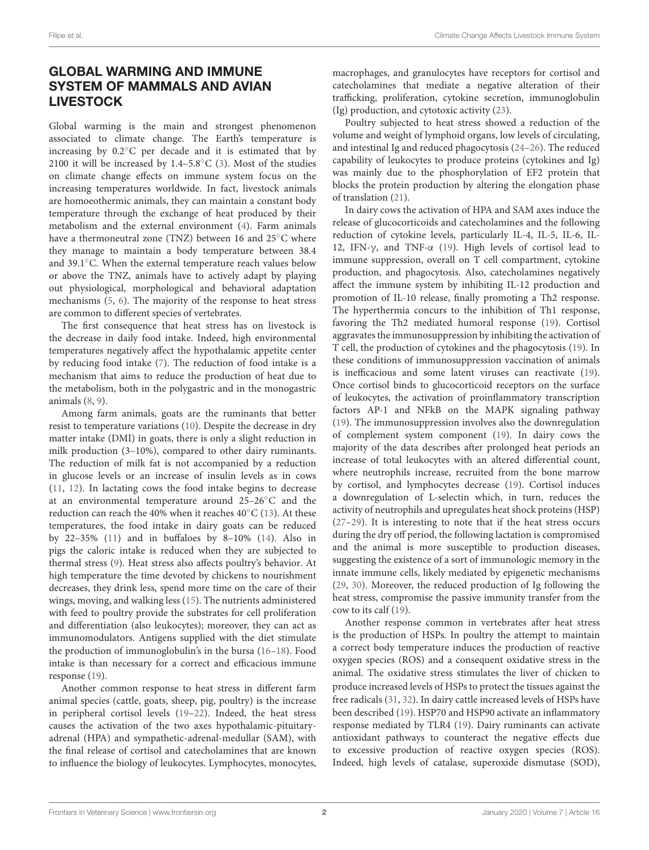# GLOBAL WARMING AND IMMUNE SYSTEM OF MAMMALS AND AVIAN LIVESTOCK

Global warming is the main and strongest phenomenon associated to climate change. The Earth's temperature is increasing by 0.2◦C per decade and it is estimated that by 2100 it will be increased by  $1.4-5.8\degree$ C [\(3\)](#page-5-2). Most of the studies on climate change effects on immune system focus on the increasing temperatures worldwide. In fact, livestock animals are homoeothermic animals, they can maintain a constant body temperature through the exchange of heat produced by their metabolism and the external environment [\(4\)](#page-5-3). Farm animals have a thermoneutral zone (TNZ) between 16 and 25◦C where they manage to maintain a body temperature between 38.4 and 39.1◦C. When the external temperature reach values below or above the TNZ, animals have to actively adapt by playing out physiological, morphological and behavioral adaptation mechanisms [\(5,](#page-5-4) [6\)](#page-5-5). The majority of the response to heat stress are common to different species of vertebrates.

The first consequence that heat stress has on livestock is the decrease in daily food intake. Indeed, high environmental temperatures negatively affect the hypothalamic appetite center by reducing food intake [\(7\)](#page-5-6). The reduction of food intake is a mechanism that aims to reduce the production of heat due to the metabolism, both in the polygastric and in the monogastric animals [\(8,](#page-5-7) [9\)](#page-5-8).

Among farm animals, goats are the ruminants that better resist to temperature variations [\(10\)](#page-5-9). Despite the decrease in dry matter intake (DMI) in goats, there is only a slight reduction in milk production (3–10%), compared to other dairy ruminants. The reduction of milk fat is not accompanied by a reduction in glucose levels or an increase of insulin levels as in cows [\(11,](#page-5-10) [12\)](#page-5-11). In lactating cows the food intake begins to decrease at an environmental temperature around 25–26◦C and the reduction can reach the 40% when it reaches 40◦C [\(13\)](#page-5-12). At these temperatures, the food intake in dairy goats can be reduced by 22–35% [\(11\)](#page-5-10) and in buffaloes by 8–10% [\(14\)](#page-5-13). Also in pigs the caloric intake is reduced when they are subjected to thermal stress [\(9\)](#page-5-8). Heat stress also affects poultry's behavior. At high temperature the time devoted by chickens to nourishment decreases, they drink less, spend more time on the care of their wings, moving, and walking less [\(15\)](#page-5-14). The nutrients administered with feed to poultry provide the substrates for cell proliferation and differentiation (also leukocytes); moreover, they can act as immunomodulators. Antigens supplied with the diet stimulate the production of immunoglobulin's in the bursa [\(16](#page-5-15)[–18\)](#page-5-16). Food intake is than necessary for a correct and efficacious immune response [\(19\)](#page-5-17).

Another common response to heat stress in different farm animal species (cattle, goats, sheep, pig, poultry) is the increase in peripheral cortisol levels [\(19](#page-5-17)[–22\)](#page-5-18). Indeed, the heat stress causes the activation of the two axes hypothalamic-pituitaryadrenal (HPA) and sympathetic-adrenal-medullar (SAM), with the final release of cortisol and catecholamines that are known to influence the biology of leukocytes. Lymphocytes, monocytes, macrophages, and granulocytes have receptors for cortisol and catecholamines that mediate a negative alteration of their trafficking, proliferation, cytokine secretion, immunoglobulin (Ig) production, and cytotoxic activity [\(23\)](#page-5-19).

Poultry subjected to heat stress showed a reduction of the volume and weight of lymphoid organs, low levels of circulating, and intestinal Ig and reduced phagocytosis [\(24](#page-5-20)[–26\)](#page-5-21). The reduced capability of leukocytes to produce proteins (cytokines and Ig) was mainly due to the phosphorylation of EF2 protein that blocks the protein production by altering the elongation phase of translation [\(21\)](#page-5-22).

In dairy cows the activation of HPA and SAM axes induce the release of glucocorticoids and catecholamines and the following reduction of cytokine levels, particularly IL-4, IL-5, IL-6, IL-12, IFN-γ, and TNF-α [\(19\)](#page-5-17). High levels of cortisol lead to immune suppression, overall on T cell compartment, cytokine production, and phagocytosis. Also, catecholamines negatively affect the immune system by inhibiting IL-12 production and promotion of IL-10 release, finally promoting a Th2 response. The hyperthermia concurs to the inhibition of Th1 response, favoring the Th2 mediated humoral response [\(19\)](#page-5-17). Cortisol aggravates the immunosuppression by inhibiting the activation of T cell, the production of cytokines and the phagocytosis [\(19\)](#page-5-17). In these conditions of immunosuppression vaccination of animals is inefficacious and some latent viruses can reactivate [\(19\)](#page-5-17). Once cortisol binds to glucocorticoid receptors on the surface of leukocytes, the activation of proinflammatory transcription factors AP-1 and NFkB on the MAPK signaling pathway [\(19\)](#page-5-17). The immunosuppression involves also the downregulation of complement system component [\(19\)](#page-5-17). In dairy cows the majority of the data describes after prolonged heat periods an increase of total leukocytes with an altered differential count, where neutrophils increase, recruited from the bone marrow by cortisol, and lymphocytes decrease [\(19\)](#page-5-17). Cortisol induces a downregulation of L-selectin which, in turn, reduces the activity of neutrophils and upregulates heat shock proteins (HSP) [\(27](#page-5-23)[–29\)](#page-5-24). It is interesting to note that if the heat stress occurs during the dry off period, the following lactation is compromised and the animal is more susceptible to production diseases, suggesting the existence of a sort of immunologic memory in the innate immune cells, likely mediated by epigenetic mechanisms [\(29,](#page-5-24) [30\)](#page-5-25). Moreover, the reduced production of Ig following the heat stress, compromise the passive immunity transfer from the cow to its calf [\(19\)](#page-5-17).

Another response common in vertebrates after heat stress is the production of HSPs. In poultry the attempt to maintain a correct body temperature induces the production of reactive oxygen species (ROS) and a consequent oxidative stress in the animal. The oxidative stress stimulates the liver of chicken to produce increased levels of HSPs to protect the tissues against the free radicals [\(31,](#page-5-26) [32\)](#page-5-27). In dairy cattle increased levels of HSPs have been described [\(19\)](#page-5-17). HSP70 and HSP90 activate an inflammatory response mediated by TLR4 [\(19\)](#page-5-17). Dairy ruminants can activate antioxidant pathways to counteract the negative effects due to excessive production of reactive oxygen species (ROS). Indeed, high levels of catalase, superoxide dismutase (SOD),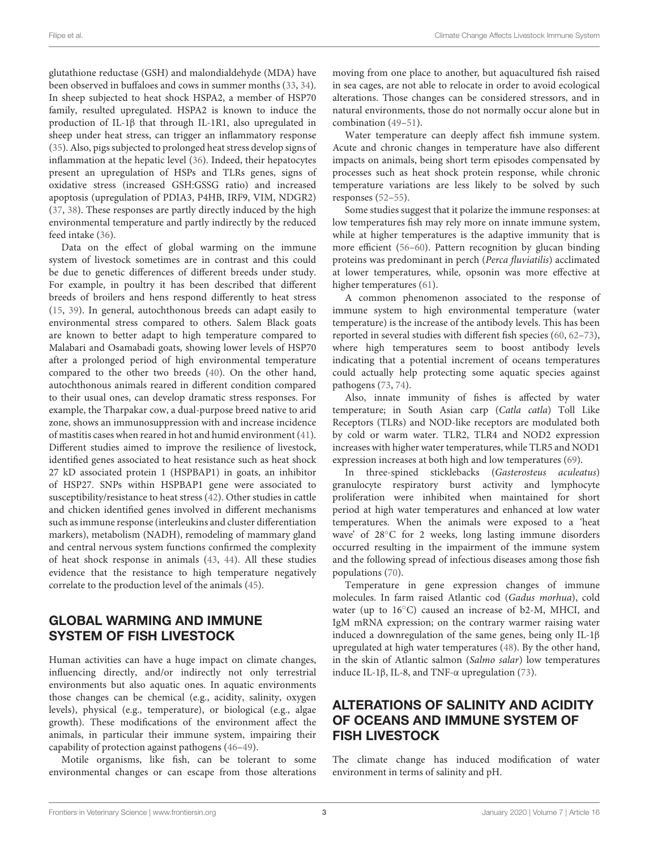glutathione reductase (GSH) and malondialdehyde (MDA) have been observed in buffaloes and cows in summer months [\(33,](#page-6-0) [34\)](#page-6-1). In sheep subjected to heat shock HSPA2, a member of HSP70 family, resulted upregulated. HSPA2 is known to induce the production of IL-1β that through IL-1R1, also upregulated in sheep under heat stress, can trigger an inflammatory response [\(35\)](#page-6-2). Also, pigs subjected to prolonged heat stress develop signs of inflammation at the hepatic level [\(36\)](#page-6-3). Indeed, their hepatocytes present an upregulation of HSPs and TLRs genes, signs of oxidative stress (increased GSH:GSSG ratio) and increased apoptosis (upregulation of PDIA3, P4HB, IRF9, VIM, NDGR2) [\(37,](#page-6-4) [38\)](#page-6-5). These responses are partly directly induced by the high environmental temperature and partly indirectly by the reduced feed intake [\(36\)](#page-6-3).

Data on the effect of global warming on the immune system of livestock sometimes are in contrast and this could be due to genetic differences of different breeds under study. For example, in poultry it has been described that different breeds of broilers and hens respond differently to heat stress [\(15,](#page-5-14) [39\)](#page-6-6). In general, autochthonous breeds can adapt easily to environmental stress compared to others. Salem Black goats are known to better adapt to high temperature compared to Malabari and Osamabadi goats, showing lower levels of HSP70 after a prolonged period of high environmental temperature compared to the other two breeds [\(40\)](#page-6-7). On the other hand, autochthonous animals reared in different condition compared to their usual ones, can develop dramatic stress responses. For example, the Tharpakar cow, a dual-purpose breed native to arid zone, shows an immunosuppression with and increase incidence of mastitis cases when reared in hot and humid environment [\(41\)](#page-6-8). Different studies aimed to improve the resilience of livestock, identified genes associated to heat resistance such as heat shock 27 kD associated protein 1 (HSPBAP1) in goats, an inhibitor of HSP27. SNPs within HSPBAP1 gene were associated to susceptibility/resistance to heat stress [\(42\)](#page-6-9). Other studies in cattle and chicken identified genes involved in different mechanisms such as immune response (interleukins and cluster differentiation markers), metabolism (NADH), remodeling of mammary gland and central nervous system functions confirmed the complexity of heat shock response in animals [\(43,](#page-6-10) [44\)](#page-6-11). All these studies evidence that the resistance to high temperature negatively correlate to the production level of the animals [\(45\)](#page-6-12).

## GLOBAL WARMING AND IMMUNE SYSTEM OF FISH LIVESTOCK

Human activities can have a huge impact on climate changes, influencing directly, and/or indirectly not only terrestrial environments but also aquatic ones. In aquatic environments those changes can be chemical (e.g., acidity, salinity, oxygen levels), physical (e.g., temperature), or biological (e.g., algae growth). These modifications of the environment affect the animals, in particular their immune system, impairing their capability of protection against pathogens [\(46–](#page-6-13)[49\)](#page-6-14).

Motile organisms, like fish, can be tolerant to some environmental changes or can escape from those alterations moving from one place to another, but aquacultured fish raised in sea cages, are not able to relocate in order to avoid ecological alterations. Those changes can be considered stressors, and in natural environments, those do not normally occur alone but in combination [\(49](#page-6-14)[–51\)](#page-6-15).

Water temperature can deeply affect fish immune system. Acute and chronic changes in temperature have also different impacts on animals, being short term episodes compensated by processes such as heat shock protein response, while chronic temperature variations are less likely to be solved by such responses [\(52–](#page-6-16)[55\)](#page-6-17).

Some studies suggest that it polarize the immune responses: at low temperatures fish may rely more on innate immune system, while at higher temperatures is the adaptive immunity that is more efficient [\(56–](#page-6-18)[60\)](#page-6-19). Pattern recognition by glucan binding proteins was predominant in perch (Perca fluviatilis) acclimated at lower temperatures, while, opsonin was more effective at higher temperatures [\(61\)](#page-6-20).

A common phenomenon associated to the response of immune system to high environmental temperature (water temperature) is the increase of the antibody levels. This has been reported in several studies with different fish species [\(60,](#page-6-19) [62–](#page-6-21)[73\)](#page-7-0), where high temperatures seem to boost antibody levels indicating that a potential increment of oceans temperatures could actually help protecting some aquatic species against pathogens [\(73,](#page-7-0) [74\)](#page-7-1).

Also, innate immunity of fishes is affected by water temperature; in South Asian carp (Catla catla) Toll Like Receptors (TLRs) and NOD-like receptors are modulated both by cold or warm water. TLR2, TLR4 and NOD2 expression increases with higher water temperatures, while TLR5 and NOD1 expression increases at both high and low temperatures [\(69\)](#page-6-22).

In three-spined sticklebacks (Gasterosteus aculeatus) granulocyte respiratory burst activity and lymphocyte proliferation were inhibited when maintained for short period at high water temperatures and enhanced at low water temperatures. When the animals were exposed to a 'heat wave' of 28<sup>°</sup>C for 2 weeks, long lasting immune disorders occurred resulting in the impairment of the immune system and the following spread of infectious diseases among those fish populations [\(70\)](#page-7-2).

Temperature in gene expression changes of immune molecules. In farm raised Atlantic cod (Gadus morhua), cold water (up to 16°C) caused an increase of b2-M, MHCI, and IgM mRNA expression; on the contrary warmer raising water induced a downregulation of the same genes, being only IL-1β upregulated at high water temperatures [\(48\)](#page-6-23). By the other hand, in the skin of Atlantic salmon (Salmo salar) low temperatures induce IL-1β, IL-8, and TNF-α upregulation [\(73\)](#page-7-0).

### ALTERATIONS OF SALINITY AND ACIDITY OF OCEANS AND IMMUNE SYSTEM OF FISH LIVESTOCK

The climate change has induced modification of water environment in terms of salinity and pH.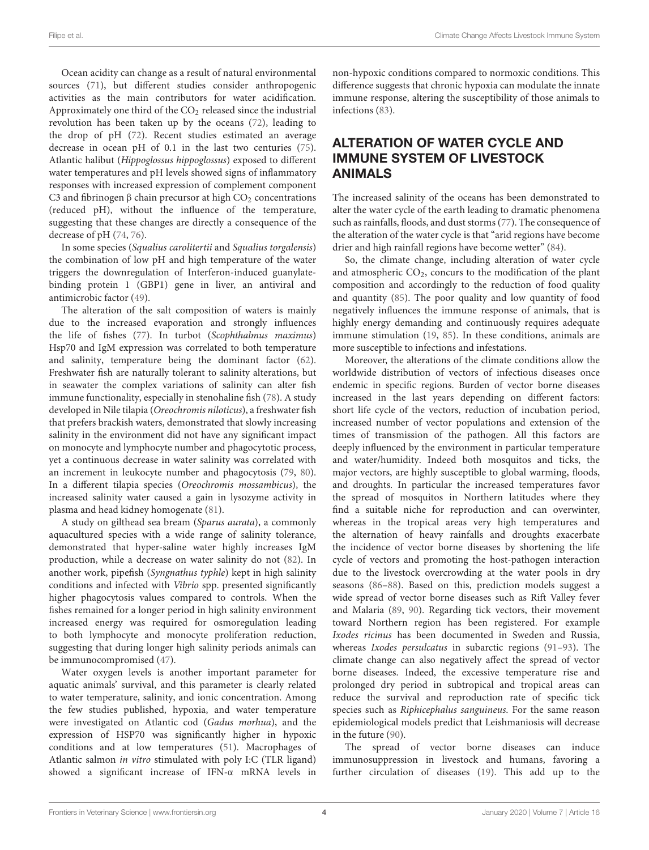Ocean acidity can change as a result of natural environmental sources [\(71\)](#page-7-3), but different studies consider anthropogenic activities as the main contributors for water acidification. Approximately one third of the  $CO<sub>2</sub>$  released since the industrial revolution has been taken up by the oceans [\(72\)](#page-7-4), leading to the drop of pH [\(72\)](#page-7-4). Recent studies estimated an average decrease in ocean pH of 0.1 in the last two centuries [\(75\)](#page-7-5). Atlantic halibut (Hippoglossus hippoglossus) exposed to different water temperatures and pH levels showed signs of inflammatory responses with increased expression of complement component C3 and fibrinogen  $\beta$  chain precursor at high CO<sub>2</sub> concentrations (reduced pH), without the influence of the temperature, suggesting that these changes are directly a consequence of the decrease of pH [\(74,](#page-7-1) [76\)](#page-7-6).

In some species (Squalius carolitertii and Squalius torgalensis) the combination of low pH and high temperature of the water triggers the downregulation of Interferon-induced guanylatebinding protein 1 (GBP1) gene in liver, an antiviral and antimicrobic factor [\(49\)](#page-6-14).

The alteration of the salt composition of waters is mainly due to the increased evaporation and strongly influences the life of fishes [\(77\)](#page-7-7). In turbot (Scophthalmus maximus) Hsp70 and IgM expression was correlated to both temperature and salinity, temperature being the dominant factor [\(62\)](#page-6-21). Freshwater fish are naturally tolerant to salinity alterations, but in seawater the complex variations of salinity can alter fish immune functionality, especially in stenohaline fish [\(78\)](#page-7-8). A study developed in Nile tilapia (Oreochromis niloticus), a freshwater fish that prefers brackish waters, demonstrated that slowly increasing salinity in the environment did not have any significant impact on monocyte and lymphocyte number and phagocytotic process, yet a continuous decrease in water salinity was correlated with an increment in leukocyte number and phagocytosis [\(79,](#page-7-9) [80\)](#page-7-10). In a different tilapia species (Oreochromis mossambicus), the increased salinity water caused a gain in lysozyme activity in plasma and head kidney homogenate [\(81\)](#page-7-11).

A study on gilthead sea bream (Sparus aurata), a commonly aquacultured species with a wide range of salinity tolerance, demonstrated that hyper-saline water highly increases IgM production, while a decrease on water salinity do not [\(82\)](#page-7-12). In another work, pipefish (Syngnathus typhle) kept in high salinity conditions and infected with Vibrio spp. presented significantly higher phagocytosis values compared to controls. When the fishes remained for a longer period in high salinity environment increased energy was required for osmoregulation leading to both lymphocyte and monocyte proliferation reduction, suggesting that during longer high salinity periods animals can be immunocompromised [\(47\)](#page-6-24).

Water oxygen levels is another important parameter for aquatic animals' survival, and this parameter is clearly related to water temperature, salinity, and ionic concentration. Among the few studies published, hypoxia, and water temperature were investigated on Atlantic cod (Gadus morhua), and the expression of HSP70 was significantly higher in hypoxic conditions and at low temperatures [\(51\)](#page-6-15). Macrophages of Atlantic salmon in vitro stimulated with poly I:C (TLR ligand) showed a significant increase of IFN-α mRNA levels in non-hypoxic conditions compared to normoxic conditions. This difference suggests that chronic hypoxia can modulate the innate immune response, altering the susceptibility of those animals to infections [\(83\)](#page-7-13).

## ALTERATION OF WATER CYCLE AND IMMUNE SYSTEM OF LIVESTOCK ANIMALS

The increased salinity of the oceans has been demonstrated to alter the water cycle of the earth leading to dramatic phenomena such as rainfalls, floods, and dust storms [\(77\)](#page-7-7). The consequence of the alteration of the water cycle is that "arid regions have become drier and high rainfall regions have become wetter" [\(84\)](#page-7-14).

So, the climate change, including alteration of water cycle and atmospheric  $CO<sub>2</sub>$ , concurs to the modification of the plant composition and accordingly to the reduction of food quality and quantity [\(85\)](#page-7-15). The poor quality and low quantity of food negatively influences the immune response of animals, that is highly energy demanding and continuously requires adequate immune stimulation [\(19,](#page-5-17) [85\)](#page-7-15). In these conditions, animals are more susceptible to infections and infestations.

Moreover, the alterations of the climate conditions allow the worldwide distribution of vectors of infectious diseases once endemic in specific regions. Burden of vector borne diseases increased in the last years depending on different factors: short life cycle of the vectors, reduction of incubation period, increased number of vector populations and extension of the times of transmission of the pathogen. All this factors are deeply influenced by the environment in particular temperature and water/humidity. Indeed both mosquitos and ticks, the major vectors, are highly susceptible to global warming, floods, and droughts. In particular the increased temperatures favor the spread of mosquitos in Northern latitudes where they find a suitable niche for reproduction and can overwinter, whereas in the tropical areas very high temperatures and the alternation of heavy rainfalls and droughts exacerbate the incidence of vector borne diseases by shortening the life cycle of vectors and promoting the host-pathogen interaction due to the livestock overcrowding at the water pools in dry seasons [\(86–](#page-7-16)[88\)](#page-7-17). Based on this, prediction models suggest a wide spread of vector borne diseases such as Rift Valley fever and Malaria [\(89,](#page-7-18) [90\)](#page-7-19). Regarding tick vectors, their movement toward Northern region has been registered. For example Ixodes ricinus has been documented in Sweden and Russia, whereas Ixodes persulcatus in subarctic regions [\(91](#page-7-20)[–93\)](#page-7-21). The climate change can also negatively affect the spread of vector borne diseases. Indeed, the excessive temperature rise and prolonged dry period in subtropical and tropical areas can reduce the survival and reproduction rate of specific tick species such as Riphicephalus sanguineus. For the same reason epidemiological models predict that Leishmaniosis will decrease in the future [\(90\)](#page-7-19).

The spread of vector borne diseases can induce immunosuppression in livestock and humans, favoring a further circulation of diseases [\(19\)](#page-5-17). This add up to the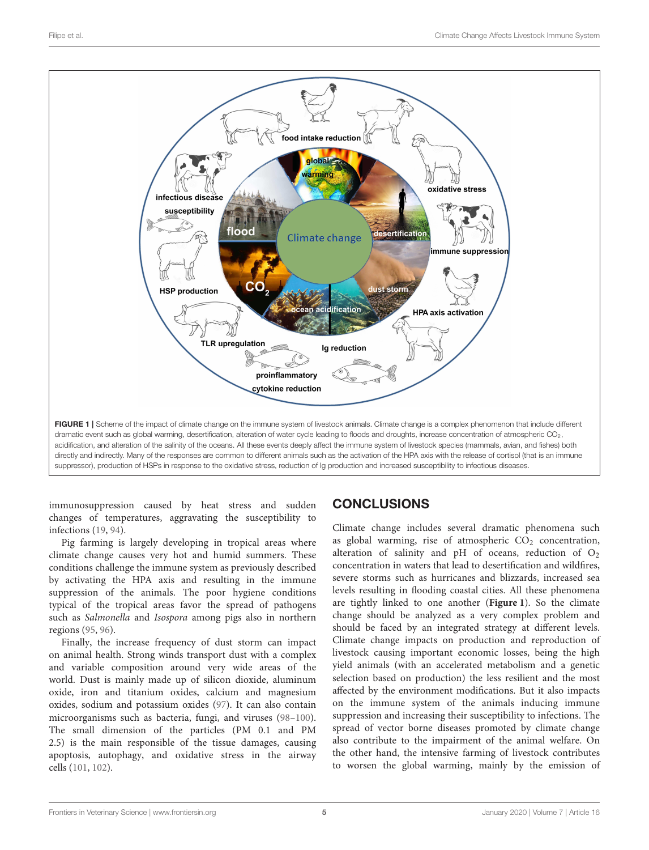

<span id="page-4-0"></span>immunosuppression caused by heat stress and sudden changes of temperatures, aggravating the susceptibility to infections [\(19,](#page-5-17) [94\)](#page-7-22).

Pig farming is largely developing in tropical areas where climate change causes very hot and humid summers. These conditions challenge the immune system as previously described by activating the HPA axis and resulting in the immune suppression of the animals. The poor hygiene conditions typical of the tropical areas favor the spread of pathogens such as Salmonella and Isospora among pigs also in northern regions [\(95,](#page-7-23) [96\)](#page-7-24).

Finally, the increase frequency of dust storm can impact on animal health. Strong winds transport dust with a complex and variable composition around very wide areas of the world. Dust is mainly made up of silicon dioxide, aluminum oxide, iron and titanium oxides, calcium and magnesium oxides, sodium and potassium oxides [\(97\)](#page-7-25). It can also contain microorganisms such as bacteria, fungi, and viruses [\(98](#page-7-26)[–100\)](#page-7-27). The small dimension of the particles (PM 0.1 and PM 2.5) is the main responsible of the tissue damages, causing apoptosis, autophagy, and oxidative stress in the airway cells [\(101,](#page-7-28) [102\)](#page-7-29).

# **CONCLUSIONS**

Climate change includes several dramatic phenomena such as global warming, rise of atmospheric  $CO<sub>2</sub>$  concentration, alteration of salinity and pH of oceans, reduction of  $O_2$ concentration in waters that lead to desertification and wildfires, severe storms such as hurricanes and blizzards, increased sea levels resulting in flooding coastal cities. All these phenomena are tightly linked to one another (**[Figure 1](#page-4-0)**). So the climate change should be analyzed as a very complex problem and should be faced by an integrated strategy at different levels. Climate change impacts on production and reproduction of livestock causing important economic losses, being the high yield animals (with an accelerated metabolism and a genetic selection based on production) the less resilient and the most affected by the environment modifications. But it also impacts on the immune system of the animals inducing immune suppression and increasing their susceptibility to infections. The spread of vector borne diseases promoted by climate change also contribute to the impairment of the animal welfare. On the other hand, the intensive farming of livestock contributes to worsen the global warming, mainly by the emission of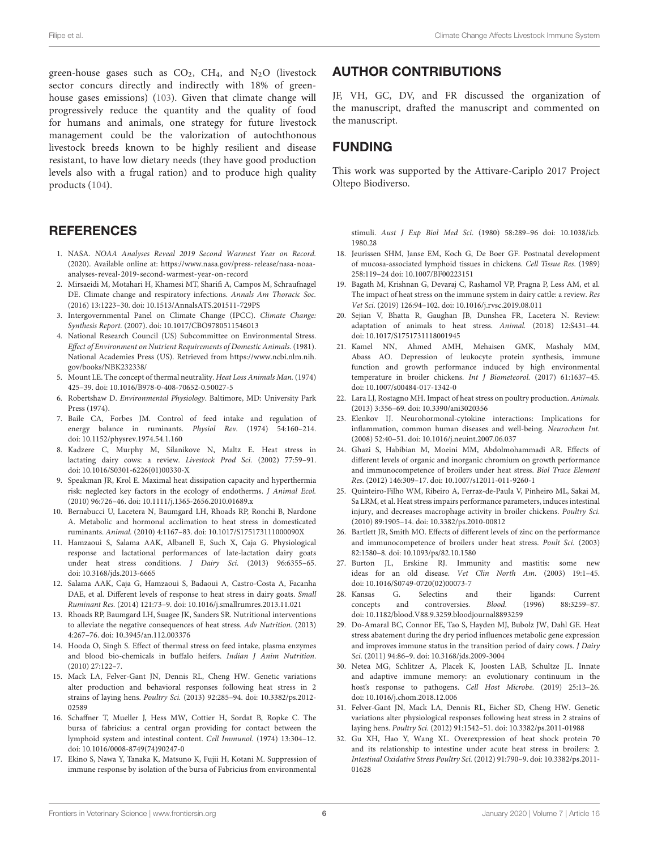green-house gases such as  $CO<sub>2</sub>$ ,  $CH<sub>4</sub>$ , and  $N<sub>2</sub>O$  (livestock sector concurs directly and indirectly with 18% of greenhouse gases emissions) [\(103\)](#page-7-30). Given that climate change will progressively reduce the quantity and the quality of food for humans and animals, one strategy for future livestock management could be the valorization of autochthonous livestock breeds known to be highly resilient and disease resistant, to have low dietary needs (they have good production levels also with a frugal ration) and to produce high quality products [\(104\)](#page-7-31).

#### **REFERENCES**

- <span id="page-5-0"></span>1. NASA. NOAA Analyses Reveal 2019 Second Warmest Year on Record. (2020). Available online at: [https://www.nasa.gov/press-release/nasa-noaa](https://www.nasa.gov/press-release/nasa-noaa-analyses-reveal-2019-second-warmest-year-on-record)[analyses-reveal-2019-second-warmest-year-on-record](https://www.nasa.gov/press-release/nasa-noaa-analyses-reveal-2019-second-warmest-year-on-record)
- <span id="page-5-1"></span>2. Mirsaeidi M, Motahari H, Khamesi MT, Sharifi A, Campos M, Schraufnagel DE. Climate change and respiratory infections. Annals Am Thoracic Soc. (2016) 13:1223–30. doi: [10.1513/AnnalsATS.201511-729PS](https://doi.org/10.1513/AnnalsATS.201511-729PS)
- <span id="page-5-2"></span>3. Intergovernmental Panel on Climate Change (IPCC). Climate Change: Synthesis Report. (2007). doi: [10.1017/CBO9780511546013](https://doi.org/10.1017/CBO9780511546013)
- <span id="page-5-3"></span>4. National Research Council (US) Subcommittee on Environmental Stress. Effect of Environment on Nutrient Requirements of Domestic Animals. (1981). National Academies Press (US). Retrieved from [https://www.ncbi.nlm.nih.](https://www.ncbi.nlm.nih.gov/books/NBK232338/) [gov/books/NBK232338/](https://www.ncbi.nlm.nih.gov/books/NBK232338/)
- <span id="page-5-4"></span>5. Mount LE. The concept of thermal neutrality. Heat Loss Animals Man. (1974) 425–39. doi: [10.1016/B978-0-408-70652-0.50027-5](https://doi.org/10.1016/B978-0-408-70652-0.50027-5)
- <span id="page-5-5"></span>6. Robertshaw D. Environmental Physiology. Baltimore, MD: University Park Press (1974).
- <span id="page-5-6"></span>7. Baile CA, Forbes JM. Control of feed intake and regulation of energy balance in ruminants. Physiol Rev. (1974) 54:160–214. doi: [10.1152/physrev.1974.54.1.160](https://doi.org/10.1152/physrev.1974.54.1.160)
- <span id="page-5-7"></span>8. Kadzere C, Murphy M, Silanikove N, Maltz E. Heat stress in lactating dairy cows: a review. Livestock Prod Sci. (2002) 77:59–91. doi: [10.1016/S0301-6226\(01\)00330-X](https://doi.org/10.1016/S0301-6226(01)00330-X)
- <span id="page-5-8"></span>9. Speakman JR, Krol E. Maximal heat dissipation capacity and hyperthermia risk: neglected key factors in the ecology of endotherms. J Animal Ecol. (2010) 96:726–46. doi: [10.1111/j.1365-2656.2010.01689.x](https://doi.org/10.1111/j.1365-2656.2010.01689.x)
- <span id="page-5-9"></span>10. Bernabucci U, Lacetera N, Baumgard LH, Rhoads RP, Ronchi B, Nardone A. Metabolic and hormonal acclimation to heat stress in domesticated ruminants. Animal. (2010) 4:1167–83. doi: [10.1017/S175173111000090X](https://doi.org/10.1017/S175173111000090X)
- <span id="page-5-10"></span>11. Hamzaoui S, Salama AAK, Albanell E, Such X, Caja G. Physiological response and lactational performances of late-lactation dairy goats under heat stress conditions. *J Dairy Sci.* (2013) 96:6355-65. doi: [10.3168/jds.2013-6665](https://doi.org/10.3168/jds.2013-6665)
- <span id="page-5-11"></span>12. Salama AAK, Caja G, Hamzaoui S, Badaoui A, Castro-Costa A, Facanha DAE, et al. Different levels of response to heat stress in dairy goats. Small Ruminant Res. (2014) 121:73–9. doi: [10.1016/j.smallrumres.2013.11.021](https://doi.org/10.1016/j.smallrumres.2013.11.021)
- <span id="page-5-12"></span>13. Rhoads RP, Baumgard LH, Suagee JK, Sanders SR. Nutritional interventions to alleviate the negative consequences of heat stress. Adv Nutrition. (2013) 4:267–76. doi: [10.3945/an.112.003376](https://doi.org/10.3945/an.112.003376)
- <span id="page-5-13"></span>14. Hooda O, Singh S. Effect of thermal stress on feed intake, plasma enzymes and blood bio-chemicals in buffalo heifers. Indian J Anim Nutrition. (2010) 27:122–7.
- <span id="page-5-14"></span>15. Mack LA, Felver-Gant JN, Dennis RL, Cheng HW. Genetic variations alter production and behavioral responses following heat stress in 2 strains of laying hens. Poultry Sci. [\(2013\) 92:285–94. doi: 10.3382/ps.2012-](https://doi.org/10.3382/ps.2012-02589) 02589
- <span id="page-5-15"></span>16. Schaffner T, Mueller J, Hess MW, Cottier H, Sordat B, Ropke C. The bursa of fabricius: a central organ providing for contact between the lymphoid system and intestinal content. Cell Immunol. (1974) 13:304–12. doi: [10.1016/0008-8749\(74\)90247-0](https://doi.org/10.1016/0008-8749(74)90247-0)
- 17. Ekino S, Nawa Y, Tanaka K, Matsuno K, Fujii H, Kotani M. Suppression of immune response by isolation of the bursa of Fabricius from environmental

### AUTHOR CONTRIBUTIONS

JF, VH, GC, DV, and FR discussed the organization of the manuscript, drafted the manuscript and commented on the manuscript.

### FUNDING

This work was supported by the Attivare-Cariplo 2017 Project Oltepo Biodiverso.

stimuli. Aust J Exp Biol Med Sci[. \(1980\) 58:289–96 doi: 10.1038/icb.](https://doi.org/10.1038/icb.1980.28) 1980.28

- <span id="page-5-16"></span>18. Jeurissen SHM, Janse EM, Koch G, De Boer GF. Postnatal development of mucosa-associated lymphoid tissues in chickens. Cell Tissue Res. (1989) 258:119–24 doi: [10.1007/BF00223151](https://doi.org/10.1007/BF00223151)
- <span id="page-5-17"></span>19. Bagath M, Krishnan G, Devaraj C, Rashamol VP, Pragna P, Less AM, et al. The impact of heat stress on the immune system in dairy cattle: a review. Res Vet Sci. (2019) 126:94–102. doi: [10.1016/j.rvsc.2019.08.011](https://doi.org/10.1016/j.rvsc.2019.08.011)
- 20. Sejian V, Bhatta R, Gaughan JB, Dunshea FR, Lacetera N. Review: adaptation of animals to heat stress. Animal. (2018) 12:S431–44. doi: [10.1017/S1751731118001945](https://doi.org/10.1017/S1751731118001945)
- <span id="page-5-22"></span>21. Kamel NN, Ahmed AMH, Mehaisen GMK, Mashaly MM, Abass AO. Depression of leukocyte protein synthesis, immune function and growth performance induced by high environmental temperature in broiler chickens. Int J Biometeorol. (2017) 61:1637–45. doi: [10.1007/s00484-017-1342-0](https://doi.org/10.1007/s00484-017-1342-0)
- <span id="page-5-18"></span>22. Lara LJ, Rostagno MH. Impact of heat stress on poultry production. Animals. (2013) 3:356–69. doi: [10.3390/ani3020356](https://doi.org/10.3390/ani3020356)
- <span id="page-5-19"></span>23. Elenkov IJ. Neurohormonal-cytokine interactions: Implications for inflammation, common human diseases and well-being. Neurochem Int. (2008) 52:40–51. doi: [10.1016/j.neuint.2007.06.037](https://doi.org/10.1016/j.neuint.2007.06.037)
- <span id="page-5-20"></span>24. Ghazi S, Habibian M, Moeini MM, Abdolmohammadi AR. Effects of different levels of organic and inorganic chromium on growth performance and immunocompetence of broilers under heat stress. Biol Trace Element Res. (2012) 146:309–17. doi: [10.1007/s12011-011-9260-1](https://doi.org/10.1007/s12011-011-9260-1)
- 25. Quinteiro-Filho WM, Ribeiro A, Ferraz-de-Paula V, Pinheiro ML, Sakai M, Sa LRM, et al. Heat stress impairs performance parameters, induces intestinal injury, and decreases macrophage activity in broiler chickens. Poultry Sci. (2010) 89:1905–14. doi: [10.3382/ps.2010-00812](https://doi.org/10.3382/ps.2010-00812)
- <span id="page-5-21"></span>26. Bartlett JR, Smith MO. Effects of different levels of zinc on the performance and immunocompetence of broilers under heat stress. Poult Sci. (2003) 82:1580–8. doi: [10.1093/ps/82.10.1580](https://doi.org/10.1093/ps/82.10.1580)
- <span id="page-5-23"></span>27. Burton JL, Erskine RJ. Immunity and mastitis: some new ideas for an old disease. Vet Clin North Am. (2003) 19:1–45. doi: [10.1016/S0749-0720\(02\)00073-7](https://doi.org/10.1016/S0749-0720(02)00073-7)
- 28. Kansas G. Selectins and their ligands: Current concepts and controversies *Blood* (1996) 88:3259-87 concepts and controversies. Blood. (1996) 88:3259–87. doi: [10.1182/blood.V88.9.3259.bloodjournal8893259](https://doi.org/10.1182/blood.V88.9.3259.bloodjournal8893259)
- <span id="page-5-24"></span>29. Do-Amaral BC, Connor EE, Tao S, Hayden MJ, Bubolz JW, Dahl GE. Heat stress abatement during the dry period influences metabolic gene expression and improves immune status in the transition period of dairy cows. J Dairy Sci. (2011) 94:86–9. doi: [10.3168/jds.2009-3004](https://doi.org/10.3168/jds.2009-3004)
- <span id="page-5-25"></span>30. Netea MG, Schlitzer A, Placek K, Joosten LAB, Schultze JL. Innate and adaptive immune memory: an evolutionary continuum in the host's response to pathogens. Cell Host Microbe. (2019) 25:13–26. doi: [10.1016/j.chom.2018.12.006](https://doi.org/10.1016/j.chom.2018.12.006)
- <span id="page-5-26"></span>31. Felver-Gant JN, Mack LA, Dennis RL, Eicher SD, Cheng HW. Genetic variations alter physiological responses following heat stress in 2 strains of laying hens. Poultry Sci. (2012) 91:1542–51. doi: [10.3382/ps.2011-01988](https://doi.org/10.3382/ps.2011-01988)
- <span id="page-5-27"></span>32. Gu XH, Hao Y, Wang XL. Overexpression of heat shock protein 70 and its relationship to intestine under acute heat stress in broilers: 2. Intestinal Oxidative Stress Poultry Sci. [\(2012\) 91:790–9. doi: 10.3382/ps.2011-](https://doi.org/10.3382/ps.2011-01628) 01628